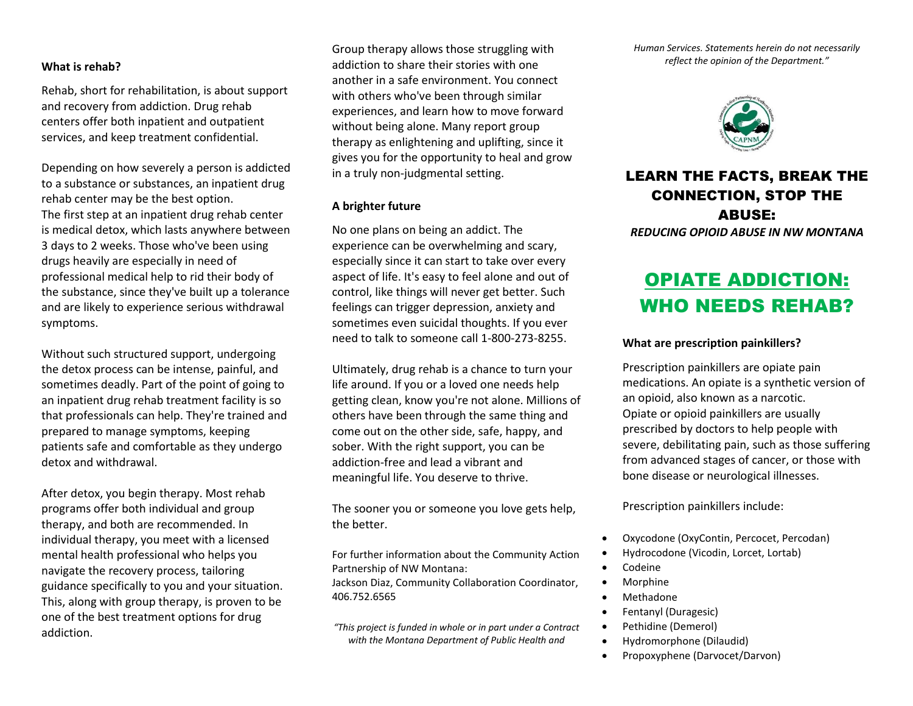### **What is rehab?**

Rehab, short for rehabilitation, is about support and recovery from addiction. Drug rehab centers offer both inpatient and outpatient services, and keep treatment confidential.

Depending on how severely a person is addicted to a substance or substances, an inpatient drug rehab center may be the best option. The first step at an inpatient drug rehab center is medical detox, which lasts anywhere between 3 days to 2 weeks. Those who've been using drugs heavily are especially in need of professional medical help to rid their body of the substance, since they've built up a tolerance and are likely to experience serious withdrawal symptoms.

Without such structured support, undergoing the detox process can be intense, painful, and sometimes deadly. Part of the point of going to an inpatient drug rehab treatment facility is so that professionals can help. They're trained and prepared to manage symptoms, keeping patients safe and comfortable as they undergo detox and withdrawal.

After detox, you begin therapy. Most rehab programs offer both individual and group therapy, and both are recommended. In individual therapy, you meet with a licensed mental health professional who helps you navigate the recovery process, tailoring guidance specifically to you and your situation. This, along with group therapy, is proven to be one of the best treatment options for drug addiction.

Group therapy allows those struggling with addiction to share their stories with one another in a safe environment. You connect with others who've been through similar experiences, and learn how to move forward without being alone. Many report group therapy as enlightening and uplifting, since it gives you for the opportunity to heal and grow in a truly non-judgmental setting.

### **A brighter future**

No one plans on being an addict. The experience can be overwhelming and scary, especially since it can start to take over every aspect of life. It's easy to feel alone and out of control, like things will never get better. Such feelings can trigger depression, anxiety and sometimes even suicidal thoughts. If you ever need to talk to someone call 1-800-273-8255.

Ultimately, drug rehab is a chance to turn your life around. If you or a loved one needs help getting clean, know you're not alone. Millions of others have been through the same thing and come out on the other side, safe, happy, and sober. With the right support, you can be addiction-free and lead a vibrant and meaningful life. You deserve to thrive.

The sooner you or someone you love gets help, the better.

For further information about the Community Action Partnership of NW Montana:

Jackson Diaz, Community Collaboration Coordinator, 406.752.6565

*"This project is funded in whole or in part under a Contract with the Montana Department of Public Health and* 

*Human Services. Statements herein do not necessarily reflect the opinion of the Department."*



## LEARN THE FACTS, BREAK THE CONNECTION, STOP THE ABUSE:

*REDUCING OPIOID ABUSE IN NW MONTANA*

# OPIATE ADDICTION: WHO NEEDS REHAB?

#### **What are prescription painkillers?**

Prescription painkillers are opiate pain medications. An opiate is a synthetic version of an opioid, also known as a narcotic. Opiate or opioid painkillers are usually prescribed by doctors to help people with severe, debilitating pain, such as those suffering from advanced stages of cancer, or those with bone disease or neurological illnesses.

Prescription painkillers include:

- Oxycodone (OxyContin, Percocet, Percodan)
- Hydrocodone (Vicodin, Lorcet, Lortab)
- Codeine
- Morphine
- Methadone
- Fentanyl (Duragesic)
- Pethidine (Demerol)
- Hydromorphone (Dilaudid)
- Propoxyphene (Darvocet/Darvon)